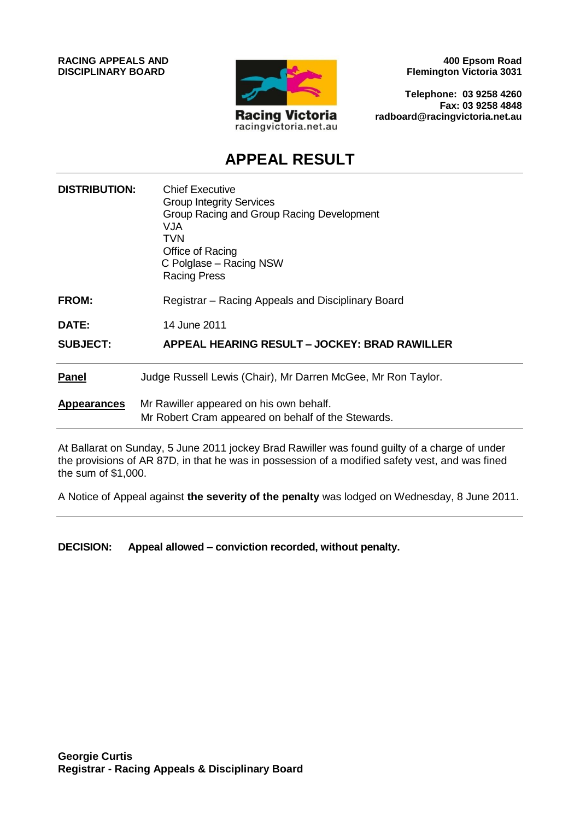

**400 Epsom Road Flemington Victoria 3031**

**Telephone: 03 9258 4260 Fax: 03 9258 4848 radboard@racingvictoria.net.au**

# **APPEAL RESULT**

| <b>DISTRIBUTION:</b> | <b>Chief Executive</b><br><b>Group Integrity Services</b><br>Group Racing and Group Racing Development<br><b>VJA</b><br><b>TVN</b><br>Office of Racing<br>C Polglase - Racing NSW<br><b>Racing Press</b> |
|----------------------|----------------------------------------------------------------------------------------------------------------------------------------------------------------------------------------------------------|
| <b>FROM:</b>         | Registrar – Racing Appeals and Disciplinary Board                                                                                                                                                        |
| DATE:                | 14 June 2011                                                                                                                                                                                             |
| <b>SUBJECT:</b>      | APPEAL HEARING RESULT - JOCKEY: BRAD RAWILLER                                                                                                                                                            |
| <b>Panel</b>         | Judge Russell Lewis (Chair), Mr Darren McGee, Mr Ron Taylor.                                                                                                                                             |
| <b>Appearances</b>   | Mr Rawiller appeared on his own behalf.<br>Mr Robert Cram appeared on behalf of the Stewards.                                                                                                            |

At Ballarat on Sunday, 5 June 2011 jockey Brad Rawiller was found guilty of a charge of under the provisions of AR 87D, in that he was in possession of a modified safety vest, and was fined the sum of \$1,000.

A Notice of Appeal against **the severity of the penalty** was lodged on Wednesday, 8 June 2011.

**DECISION: Appeal allowed – conviction recorded, without penalty.**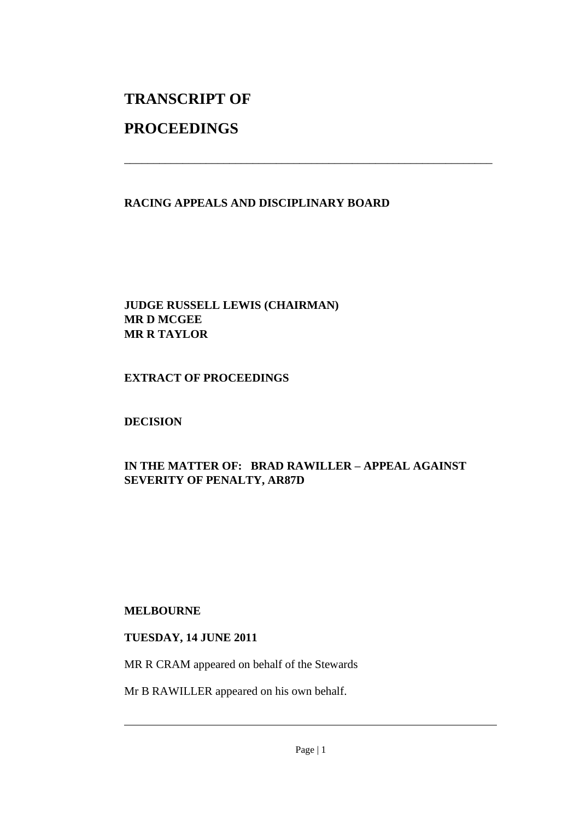# **TRANSCRIPT OF**

# **PROCEEDINGS**

#### **RACING APPEALS AND DISCIPLINARY BOARD**

\_\_\_\_\_\_\_\_\_\_\_\_\_\_\_\_\_\_\_\_\_\_\_\_\_\_\_\_\_\_\_\_\_\_\_\_\_\_\_\_\_\_\_\_\_\_\_\_\_\_\_\_\_\_\_\_\_\_\_\_\_\_\_

**JUDGE RUSSELL LEWIS (CHAIRMAN) MR D MCGEE MR R TAYLOR** 

**EXTRACT OF PROCEEDINGS** 

### **DECISION**

## **IN THE MATTER OF: BRAD RAWILLER – APPEAL AGAINST SEVERITY OF PENALTY, AR87D**

#### **MELBOURNE**

#### **TUESDAY, 14 JUNE 2011**

MR R CRAM appeared on behalf of the Stewards

Mr B RAWILLER appeared on his own behalf.